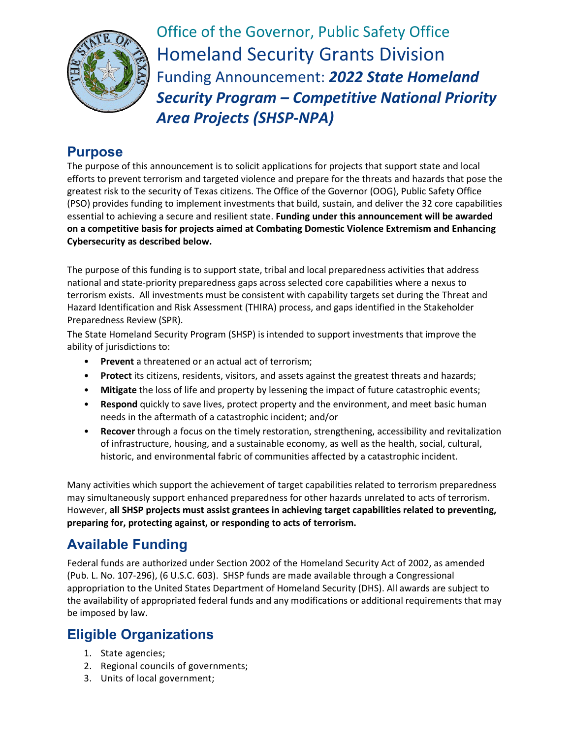

Office of the Governor, Public Safety Office Homeland Security Grants Division Funding Announcement: *2022 State Homeland Security Program – Competitive National Priority Area Projects (SHSP-NPA)*

### **Purpose**

The purpose of this announcement is to solicit applications for projects that support state and local efforts to prevent terrorism and targeted violence and prepare for the threats and hazards that pose the greatest risk to the security of Texas citizens. The Office of the Governor (OOG), Public Safety Office (PSO) provides funding to implement investments that build, sustain, and deliver the 32 core capabilities essential to achieving a secure and resilient state. **Funding under this announcement will be awarded on a competitive basis for projects aimed at Combating Domestic Violence Extremism and Enhancing Cybersecurity as described below.**

The purpose of this funding is to support state, tribal and local preparedness activities that address national and state-priority preparedness gaps across selected core capabilities where a nexus to terrorism exists. All investments must be consistent with capability targets set during the Threat and Hazard Identification and Risk Assessment (THIRA) process, and gaps identified in the Stakeholder Preparedness Review (SPR).

The State Homeland Security Program (SHSP) is intended to support investments that improve the ability of jurisdictions to:

- **Prevent** a threatened or an actual act of terrorism;
- **Protect** its citizens, residents, visitors, and assets against the greatest threats and hazards;
- **Mitigate** the loss of life and property by lessening the impact of future catastrophic events;
- **Respond** quickly to save lives, protect property and the environment, and meet basic human needs in the aftermath of a catastrophic incident; and/or
- **Recover** through a focus on the timely restoration, strengthening, accessibility and revitalization of infrastructure, housing, and a sustainable economy, as well as the health, social, cultural, historic, and environmental fabric of communities affected by a catastrophic incident.

Many activities which support the achievement of target capabilities related to terrorism preparedness may simultaneously support enhanced preparedness for other hazards unrelated to acts of terrorism. However, **all SHSP projects must assist grantees in achieving target capabilities related to preventing, preparing for, protecting against, or responding to acts of terrorism.**

# **Available Funding**

Federal funds are authorized under Section 2002 of the Homeland Security Act of 2002, as amended (Pub. L. No. 107-296), (6 U.S.C. 603). SHSP funds are made available through a Congressional appropriation to the United States Department of Homeland Security (DHS). All awards are subject to the availability of appropriated federal funds and any modifications or additional requirements that may be imposed by law.

## **Eligible Organizations**

- 1. State agencies;
- 2. Regional councils of governments;
- 3. Units of local government;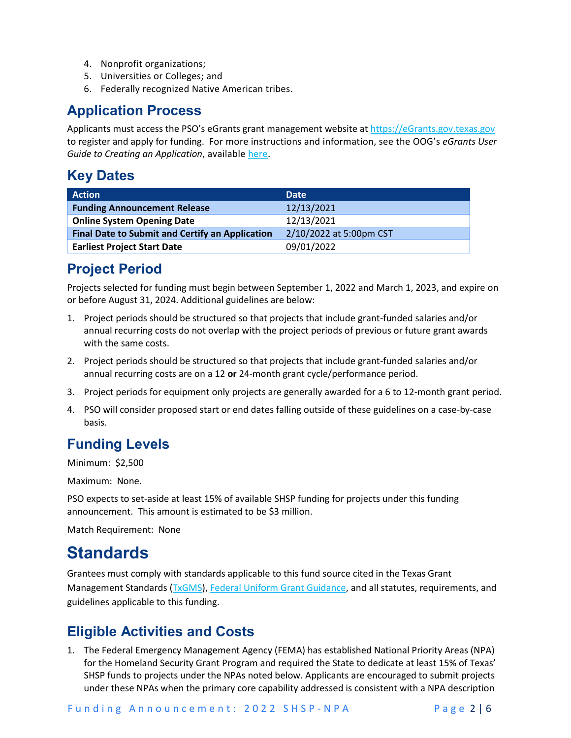- 4. Nonprofit organizations;
- 5. Universities or Colleges; and
- 6. Federally recognized Native American tribes.

#### **Application Process**

Applicants must access the PSO's eGrants grant management website at [https://eGrants.gov.texas.gov](https://egrants.gov.texas.gov/) to register and apply for funding. For more instructions and information, see the OOG's *eGrants User Guide to Creating an Application*, available [here.](https://egrants.gov.texas.gov/fundopp.aspx?name=eGrants_Guide_to_Creating_an_Application_12.2020.pdf&type=2)

### **Key Dates**

| <b>Action</b>                                          | <b>Date</b>             |
|--------------------------------------------------------|-------------------------|
| <b>Funding Announcement Release</b>                    | 12/13/2021              |
| <b>Online System Opening Date</b>                      | 12/13/2021              |
| <b>Final Date to Submit and Certify an Application</b> | 2/10/2022 at 5:00pm CST |
| <b>Earliest Project Start Date</b>                     | 09/01/2022              |

## **Project Period**

Projects selected for funding must begin between September 1, 2022 and March 1, 2023, and expire on or before August 31, 2024. Additional guidelines are below:

- 1. Project periods should be structured so that projects that include grant-funded salaries and/or annual recurring costs do not overlap with the project periods of previous or future grant awards with the same costs.
- 2. Project periods should be structured so that projects that include grant-funded salaries and/or annual recurring costs are on a 12 **or** 24-month grant cycle/performance period.
- 3. Project periods for equipment only projects are generally awarded for a 6 to 12-month grant period.
- 4. PSO will consider proposed start or end dates falling outside of these guidelines on a case-by-case basis.

## **Funding Levels**

Minimum: \$2,500

Maximum: None.

PSO expects to set-aside at least 15% of available SHSP funding for projects under this funding announcement. This amount is estimated to be \$3 million.

Match Requirement: None

# **Standards**

Grantees must comply with standards applicable to this fund source cited in the Texas Grant Management Standards [\(TxGMS\)](https://comptroller.texas.gov/purchasing/grant-management/), [Federal Uniform Grant Guidance,](https://www.ecfr.gov/current/title-2/subtitle-A/chapter-II/part-200?toc=1) and all statutes, requirements, and guidelines applicable to this funding.

#### **Eligible Activities and Costs**

1. The Federal Emergency Management Agency (FEMA) has established National Priority Areas (NPA) for the Homeland Security Grant Program and required the State to dedicate at least 15% of Texas' SHSP funds to projects under the NPAs noted below. Applicants are encouraged to submit projects under these NPAs when the primary core capability addressed is consistent with a NPA description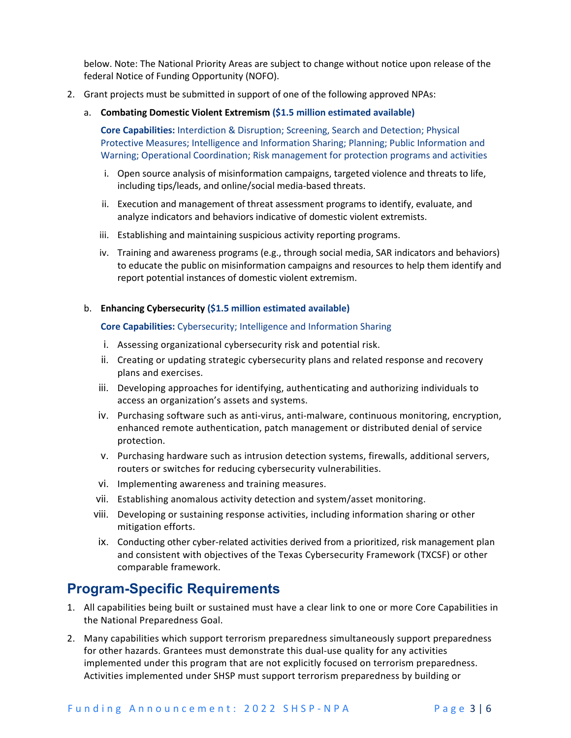below. Note: The National Priority Areas are subject to change without notice upon release of the federal Notice of Funding Opportunity (NOFO).

- 2. Grant projects must be submitted in support of one of the following approved NPAs:
	- a. **Combating Domestic Violent Extremism (\$1.5 million estimated available)**

**Core Capabilities:** Interdiction & Disruption; Screening, Search and Detection; Physical Protective Measures; Intelligence and Information Sharing; Planning; Public Information and Warning; Operational Coordination; Risk management for protection programs and activities

- i. Open source analysis of misinformation campaigns, targeted violence and threats to life, including tips/leads, and online/social media-based threats.
- ii. Execution and management of threat assessment programs to identify, evaluate, and analyze indicators and behaviors indicative of domestic violent extremists.
- iii. Establishing and maintaining suspicious activity reporting programs.
- iv. Training and awareness programs (e.g., through social media, SAR indicators and behaviors) to educate the public on misinformation campaigns and resources to help them identify and report potential instances of domestic violent extremism.

#### b. **Enhancing Cybersecurity (\$1.5 million estimated available)**

#### **Core Capabilities:** Cybersecurity; Intelligence and Information Sharing

- i. Assessing organizational cybersecurity risk and potential risk.
- ii. Creating or updating strategic cybersecurity plans and related response and recovery plans and exercises.
- iii. Developing approaches for identifying, authenticating and authorizing individuals to access an organization's assets and systems.
- iv. Purchasing software such as anti-virus, anti-malware, continuous monitoring, encryption, enhanced remote authentication, patch management or distributed denial of service protection.
- v. Purchasing hardware such as intrusion detection systems, firewalls, additional servers, routers or switches for reducing cybersecurity vulnerabilities.
- vi. Implementing awareness and training measures.
- vii. Establishing anomalous activity detection and system/asset monitoring.
- viii. Developing or sustaining response activities, including information sharing or other mitigation efforts.
- ix. Conducting other cyber-related activities derived from a prioritized, risk management plan and consistent with objectives of the Texas Cybersecurity Framework (TXCSF) or other comparable framework.

#### **Program-Specific Requirements**

- 1. All capabilities being built or sustained must have a clear link to one or more Core Capabilities in the National Preparedness Goal.
- 2. Many capabilities which support terrorism preparedness simultaneously support preparedness for other hazards. Grantees must demonstrate this dual-use quality for any activities implemented under this program that are not explicitly focused on terrorism preparedness. Activities implemented under SHSP must support terrorism preparedness by building or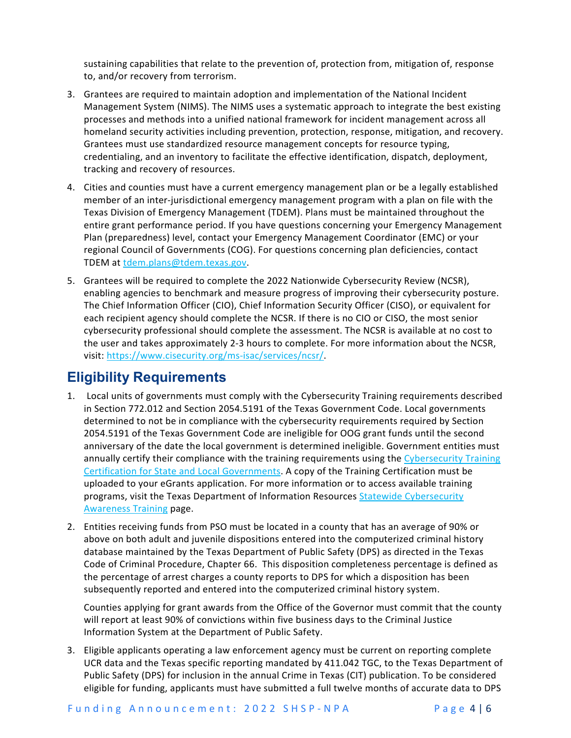sustaining capabilities that relate to the prevention of, protection from, mitigation of, response to, and/or recovery from terrorism.

- 3. Grantees are required to maintain adoption and implementation of the National Incident Management System (NIMS). The NIMS uses a systematic approach to integrate the best existing processes and methods into a unified national framework for incident management across all homeland security activities including prevention, protection, response, mitigation, and recovery. Grantees must use standardized resource management concepts for resource typing, credentialing, and an inventory to facilitate the effective identification, dispatch, deployment, tracking and recovery of resources.
- 4. Cities and counties must have a current emergency management plan or be a legally established member of an inter-jurisdictional emergency management program with a plan on file with the Texas Division of Emergency Management (TDEM). Plans must be maintained throughout the entire grant performance period. If you have questions concerning your Emergency Management Plan (preparedness) level, contact your Emergency Management Coordinator (EMC) or your regional Council of Governments (COG). For questions concerning plan deficiencies, contact TDEM at [tdem.plans@tdem.texas.gov.](mailto:tdem.plans@tdem.texas.gov)
- 5. Grantees will be required to complete the 2022 Nationwide Cybersecurity Review (NCSR), enabling agencies to benchmark and measure progress of improving their cybersecurity posture. The Chief Information Officer (CIO), Chief Information Security Officer (CISO), or equivalent for each recipient agency should complete the NCSR. If there is no CIO or CISO, the most senior cybersecurity professional should complete the assessment. The NCSR is available at no cost to the user and takes approximately 2-3 hours to complete. For more information about the NCSR, visit: [https://www.cisecurity.org/ms-isac/services/ncsr/.](https://www.cisecurity.org/ms-isac/services/ncsr/)

## **Eligibility Requirements**

- 1. Local units of governments must comply with the Cybersecurity Training requirements described in Section 772.012 and Section 2054.5191 of the Texas Government Code. Local governments determined to not be in compliance with the cybersecurity requirements required by Section 2054.5191 of the Texas Government Code are ineligible for OOG grant funds until the second anniversary of the date the local government is determined ineligible. Government entities must annually certify their compliance with the training requirements using the Cybersecurity Training [Certification for State and Local Governments.](https://dircommunity.force.com/SecurityTrainingVerification/s/CybersecurityTrainingCertification) A copy of the Training Certification must be uploaded to your eGrants application. For more information or to access available training programs, visit the Texas Department of Information Resources Statewide Cybersecurity [Awareness Training](https://dir.texas.gov/information-security/statewide-cybersecurity-awareness-training) page.
- 2. Entities receiving funds from PSO must be located in a county that has an average of 90% or above on both adult and juvenile dispositions entered into the computerized criminal history database maintained by the Texas Department of Public Safety (DPS) as directed in the Texas Code of Criminal Procedure, Chapter 66. This disposition completeness percentage is defined as the percentage of arrest charges a county reports to DPS for which a disposition has been subsequently reported and entered into the computerized criminal history system.

Counties applying for grant awards from the Office of the Governor must commit that the county will report at least 90% of convictions within five business days to the Criminal Justice Information System at the Department of Public Safety.

3. Eligible applicants operating a law enforcement agency must be current on reporting complete UCR data and the Texas specific reporting mandated by 411.042 TGC, to the Texas Department of Public Safety (DPS) for inclusion in the annual Crime in Texas (CIT) publication. To be considered eligible for funding, applicants must have submitted a full twelve months of accurate data to DPS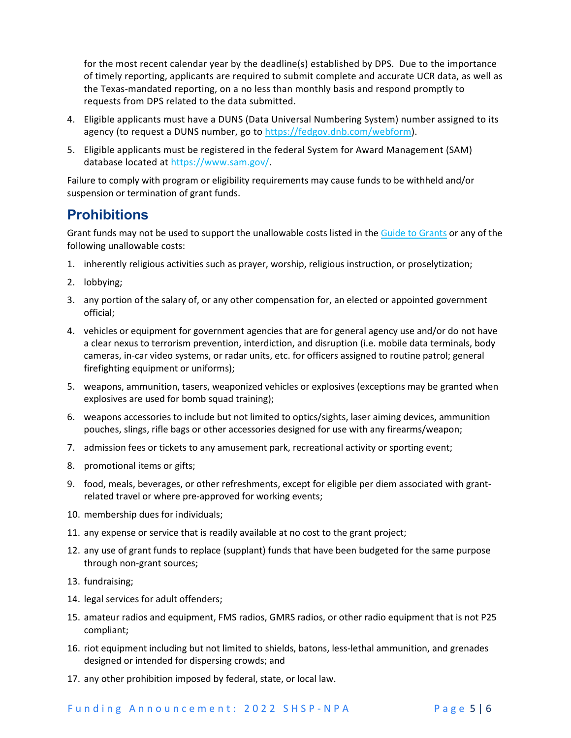for the most recent calendar year by the deadline(s) established by DPS. Due to the importance of timely reporting, applicants are required to submit complete and accurate UCR data, as well as the Texas-mandated reporting, on a no less than monthly basis and respond promptly to requests from DPS related to the data submitted.

- 4. Eligible applicants must have a DUNS (Data Universal Numbering System) number assigned to its agency (to request a DUNS number, go to [https://fedgov.dnb.com/webform\)](https://fedgov.dnb.com/webform).
- 5. Eligible applicants must be registered in the federal System for Award Management (SAM) database located at [https://www.sam.gov/.](https://www.sam.gov/)

Failure to comply with program or eligibility requirements may cause funds to be withheld and/or suspension or termination of grant funds.

### **Prohibitions**

Grant funds may not be used to support the unallowable costs listed in th[e Guide to](https://egrants.gov.texas.gov/fundopp.aspx?name=2021%20Guide%20to%20Grants.pdf&type=2) Grants or any of the following unallowable costs:

- 1. inherently religious activities such as prayer, worship, religious instruction, or proselytization;
- 2. lobbying;
- 3. any portion of the salary of, or any other compensation for, an elected or appointed government official;
- 4. vehicles or equipment for government agencies that are for general agency use and/or do not have a clear nexus to terrorism prevention, interdiction, and disruption (i.e. mobile data terminals, body cameras, in-car video systems, or radar units, etc. for officers assigned to routine patrol; general firefighting equipment or uniforms);
- 5. weapons, ammunition, tasers, weaponized vehicles or explosives (exceptions may be granted when explosives are used for bomb squad training);
- 6. weapons accessories to include but not limited to optics/sights, laser aiming devices, ammunition pouches, slings, rifle bags or other accessories designed for use with any firearms/weapon;
- 7. admission fees or tickets to any amusement park, recreational activity or sporting event;
- 8. promotional items or gifts;
- 9. food, meals, beverages, or other refreshments, except for eligible per diem associated with grantrelated travel or where pre-approved for working events;
- 10. membership dues for individuals;
- 11. any expense or service that is readily available at no cost to the grant project;
- 12. any use of grant funds to replace (supplant) funds that have been budgeted for the same purpose through non-grant sources;
- 13. fundraising;
- 14. legal services for adult offenders;
- 15. amateur radios and equipment, FMS radios, GMRS radios, or other radio equipment that is not P25 compliant;
- 16. riot equipment including but not limited to shields, batons, less-lethal ammunition, and grenades designed or intended for dispersing crowds; and
- 17. any other prohibition imposed by federal, state, or local law.